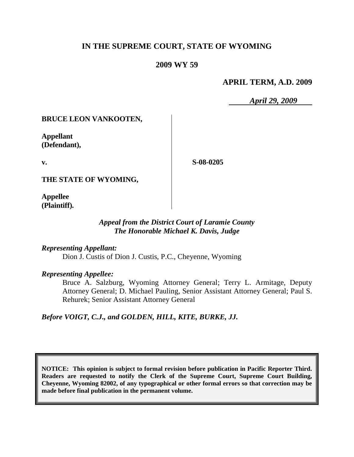# **IN THE SUPREME COURT, STATE OF WYOMING**

## **2009 WY 59**

#### **APRIL TERM, A.D. 2009**

*April 29, 2009*

## **BRUCE LEON VANKOOTEN,**

**Appellant (Defendant),**

**v.**

**S-08-0205**

**THE STATE OF WYOMING,**

**Appellee (Plaintiff).**

## *Appeal from the District Court of Laramie County The Honorable Michael K. Davis, Judge*

*Representing Appellant:*

Dion J. Custis of Dion J. Custis, P.C., Cheyenne, Wyoming

*Representing Appellee:*

Bruce A. Salzburg, Wyoming Attorney General; Terry L. Armitage, Deputy Attorney General; D. Michael Pauling, Senior Assistant Attorney General; Paul S. Rehurek; Senior Assistant Attorney General

*Before VOIGT, C.J., and GOLDEN, HILL, KITE, BURKE, JJ.*

**NOTICE: This opinion is subject to formal revision before publication in Pacific Reporter Third. Readers are requested to notify the Clerk of the Supreme Court, Supreme Court Building, Cheyenne, Wyoming 82002, of any typographical or other formal errors so that correction may be made before final publication in the permanent volume.**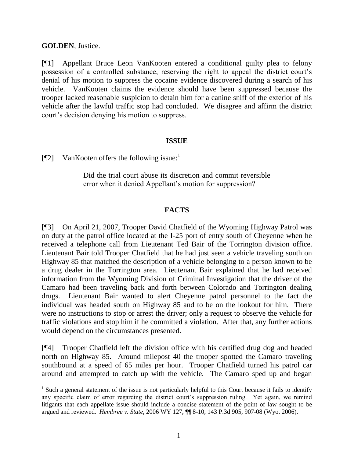## **GOLDEN**, Justice.

[¶1] Appellant Bruce Leon VanKooten entered a conditional guilty plea to felony possession of a controlled substance, reserving the right to appeal the district court's denial of his motion to suppress the cocaine evidence discovered during a search of his vehicle. VanKooten claims the evidence should have been suppressed because the trooper lacked reasonable suspicion to detain him for a canine sniff of the exterior of his vehicle after the lawful traffic stop had concluded. We disagree and affirm the district court's decision denying his motion to suppress.

## **ISSUE**

[ $\llbracket$ 2] VanKooten offers the following issue:

Did the trial court abuse its discretion and commit reversible error when it denied Appellant's motion for suppression?

## **FACTS**

[¶3] On April 21, 2007, Trooper David Chatfield of the Wyoming Highway Patrol was on duty at the patrol office located at the I-25 port of entry south of Cheyenne when he received a telephone call from Lieutenant Ted Bair of the Torrington division office. Lieutenant Bair told Trooper Chatfield that he had just seen a vehicle traveling south on Highway 85 that matched the description of a vehicle belonging to a person known to be a drug dealer in the Torrington area. Lieutenant Bair explained that he had received information from the Wyoming Division of Criminal Investigation that the driver of the Camaro had been traveling back and forth between Colorado and Torrington dealing drugs. Lieutenant Bair wanted to alert Cheyenne patrol personnel to the fact the individual was headed south on Highway 85 and to be on the lookout for him. There were no instructions to stop or arrest the driver; only a request to observe the vehicle for traffic violations and stop him if he committed a violation. After that, any further actions would depend on the circumstances presented.

[¶4] Trooper Chatfield left the division office with his certified drug dog and headed north on Highway 85. Around milepost 40 the trooper spotted the Camaro traveling southbound at a speed of 65 miles per hour. Trooper Chatfield turned his patrol car around and attempted to catch up with the vehicle. The Camaro sped up and began

<sup>&</sup>lt;sup>1</sup> Such a general statement of the issue is not particularly helpful to this Court because it fails to identify any specific claim of error regarding the district court's suppression ruling. Yet again, we remind litigants that each appellate issue should include a concise statement of the point of law sought to be argued and reviewed. *Hembree v. State*, 2006 WY 127, ¶¶ 8-10, 143 P.3d 905, 907-08 (Wyo. 2006).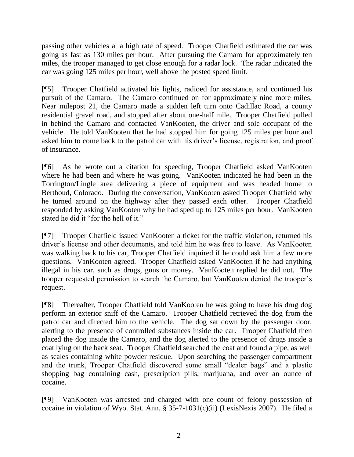passing other vehicles at a high rate of speed. Trooper Chatfield estimated the car was going as fast as 130 miles per hour. After pursuing the Camaro for approximately ten miles, the trooper managed to get close enough for a radar lock. The radar indicated the car was going 125 miles per hour, well above the posted speed limit.

[¶5] Trooper Chatfield activated his lights, radioed for assistance, and continued his pursuit of the Camaro. The Camaro continued on for approximately nine more miles. Near milepost 21, the Camaro made a sudden left turn onto Cadillac Road, a county residential gravel road, and stopped after about one-half mile. Trooper Chatfield pulled in behind the Camaro and contacted VanKooten, the driver and sole occupant of the vehicle. He told VanKooten that he had stopped him for going 125 miles per hour and asked him to come back to the patrol car with his driver's license, registration, and proof of insurance.

[¶6] As he wrote out a citation for speeding, Trooper Chatfield asked VanKooten where he had been and where he was going. VanKooten indicated he had been in the Torrington/Lingle area delivering a piece of equipment and was headed home to Berthoud, Colorado. During the conversation, VanKooten asked Trooper Chatfield why he turned around on the highway after they passed each other. Trooper Chatfield responded by asking VanKooten why he had sped up to 125 miles per hour. VanKooten stated he did it "for the hell of it."

[¶7] Trooper Chatfield issued VanKooten a ticket for the traffic violation, returned his driver's license and other documents, and told him he was free to leave. As VanKooten was walking back to his car, Trooper Chatfield inquired if he could ask him a few more questions. VanKooten agreed. Trooper Chatfield asked VanKooten if he had anything illegal in his car, such as drugs, guns or money. VanKooten replied he did not. The trooper requested permission to search the Camaro, but VanKooten denied the trooper's request.

[¶8] Thereafter, Trooper Chatfield told VanKooten he was going to have his drug dog perform an exterior sniff of the Camaro. Trooper Chatfield retrieved the dog from the patrol car and directed him to the vehicle. The dog sat down by the passenger door, alerting to the presence of controlled substances inside the car. Trooper Chatfield then placed the dog inside the Camaro, and the dog alerted to the presence of drugs inside a coat lying on the back seat. Trooper Chatfield searched the coat and found a pipe, as well as scales containing white powder residue. Upon searching the passenger compartment and the trunk, Trooper Chatfield discovered some small "dealer bags" and a plastic shopping bag containing cash, prescription pills, marijuana, and over an ounce of cocaine.

[¶9] VanKooten was arrested and charged with one count of felony possession of cocaine in violation of Wyo. Stat. Ann. § 35-7-1031(c)(ii) (LexisNexis 2007). He filed a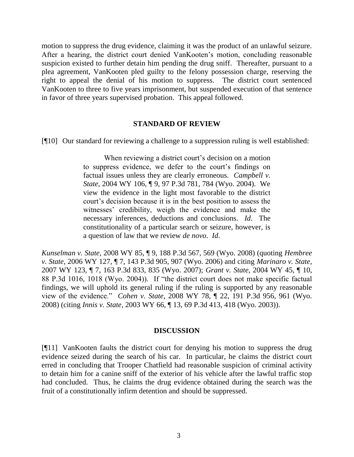motion to suppress the drug evidence, claiming it was the product of an unlawful seizure. After a hearing, the district court denied VanKooten's motion, concluding reasonable suspicion existed to further detain him pending the drug sniff. Thereafter, pursuant to a plea agreement, VanKooten pled guilty to the felony possession charge, reserving the right to appeal the denial of his motion to suppress. The district court sentenced VanKooten to three to five years imprisonment, but suspended execution of that sentence in favor of three years supervised probation. This appeal followed.

#### **STANDARD OF REVIEW**

[¶10] Our standard for reviewing a challenge to a suppression ruling is well established:

When reviewing a district court's decision on a motion to suppress evidence, we defer to the court's findings on factual issues unless they are clearly erroneous. *Campbell v. State*, 2004 WY 106, ¶ 9, 97 P.3d 781, 784 (Wyo. 2004). We view the evidence in the light most favorable to the district court's decision because it is in the best position to assess the witnesses' credibility, weigh the evidence and make the necessary inferences, deductions and conclusions. *Id*. The constitutionality of a particular search or seizure, however, is a question of law that we review *de novo*. *Id*.

*Kunselman v. State*, 2008 WY 85, ¶ 9, 188 P.3d 567, 569 (Wyo. 2008) (quoting *Hembree v. State*, 2006 WY 127, ¶ 7, 143 P.3d 905, 907 (Wyo. 2006) and citing *Marinaro v. State*, 2007 WY 123, ¶ 7, 163 P.3d 833, 835 (Wyo. 2007); *Grant v. State*, 2004 WY 45, ¶ 10, 88 P.3d 1016, 1018 (Wyo. 2004)). If "the district court does not make specific factual findings, we will uphold its general ruling if the ruling is supported by any reasonable view of the evidence." *Cohen v. State*, 2008 WY 78, ¶ 22, 191 P.3d 956, 961 (Wyo. 2008) (citing *Innis v. State*, 2003 WY 66, ¶ 13, 69 P.3d 413, 418 (Wyo. 2003)).

#### **DISCUSSION**

[¶11] VanKooten faults the district court for denying his motion to suppress the drug evidence seized during the search of his car. In particular, he claims the district court erred in concluding that Trooper Chatfield had reasonable suspicion of criminal activity to detain him for a canine sniff of the exterior of his vehicle after the lawful traffic stop had concluded. Thus, he claims the drug evidence obtained during the search was the fruit of a constitutionally infirm detention and should be suppressed.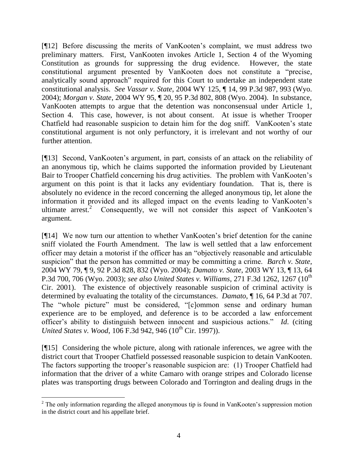[¶12] Before discussing the merits of VanKooten's complaint, we must address two preliminary matters. First, VanKooten invokes Article 1, Section 4 of the Wyoming Constitution as grounds for suppressing the drug evidence. However, the state constitutional argument presented by VanKooten does not constitute a "precise, analytically sound approach" required for this Court to undertake an independent state constitutional analysis. *See Vassar v. State*, 2004 WY 125, ¶ 14, 99 P.3d 987, 993 (Wyo. 2004); *Morgan v. State*, 2004 WY 95, ¶ 20, 95 P.3d 802, 808 (Wyo. 2004). In substance, VanKooten attempts to argue that the detention was nonconsensual under Article 1, Section 4. This case, however, is not about consent. At issue is whether Trooper Chatfield had reasonable suspicion to detain him for the dog sniff. VanKooten's state constitutional argument is not only perfunctory, it is irrelevant and not worthy of our further attention.

[¶13] Second, VanKooten's argument, in part, consists of an attack on the reliability of an anonymous tip, which he claims supported the information provided by Lieutenant Bair to Trooper Chatfield concerning his drug activities. The problem with VanKooten's argument on this point is that it lacks any evidentiary foundation. That is, there is absolutely no evidence in the record concerning the alleged anonymous tip, let alone the information it provided and its alleged impact on the events leading to VanKooten's ultimate arrest.<sup>2</sup> Consequently, we will not consider this aspect of VanKooten's argument.

[¶14] We now turn our attention to whether VanKooten's brief detention for the canine sniff violated the Fourth Amendment. The law is well settled that a law enforcement officer may detain a motorist if the officer has an "objectively reasonable and articulable suspicion" that the person has committed or may be committing a crime. *Barch v. State*, 2004 WY 79, ¶ 9, 92 P.3d 828, 832 (Wyo. 2004); *Damato v. State*, 2003 WY 13, ¶ 13, 64 P.3d 700, 706 (Wyo. 2003); see also United States v. Williams, 271 F.3d 1262, 1267 (10<sup>th</sup> Cir. 2001). The existence of objectively reasonable suspicion of criminal activity is determined by evaluating the totality of the circumstances. *Damato*, ¶ 16, 64 P.3d at 707. The "whole picture" must be considered, "[c]ommon sense and ordinary human experience are to be employed, and deference is to be accorded a law enforcement officer's ability to distinguish between innocent and suspicious actions." *Id*. (citing *United States v. Wood, 106 F.3d 942, 946 (10<sup>th</sup> Cir. 1997)).* 

[¶15] Considering the whole picture, along with rationale inferences, we agree with the district court that Trooper Chatfield possessed reasonable suspicion to detain VanKooten. The factors supporting the trooper's reasonable suspicion are: (1) Trooper Chatfield had information that the driver of a white Camaro with orange stripes and Colorado license plates was transporting drugs between Colorado and Torrington and dealing drugs in the

l

 $2$  The only information regarding the alleged anonymous tip is found in VanKooten's suppression motion in the district court and his appellate brief.